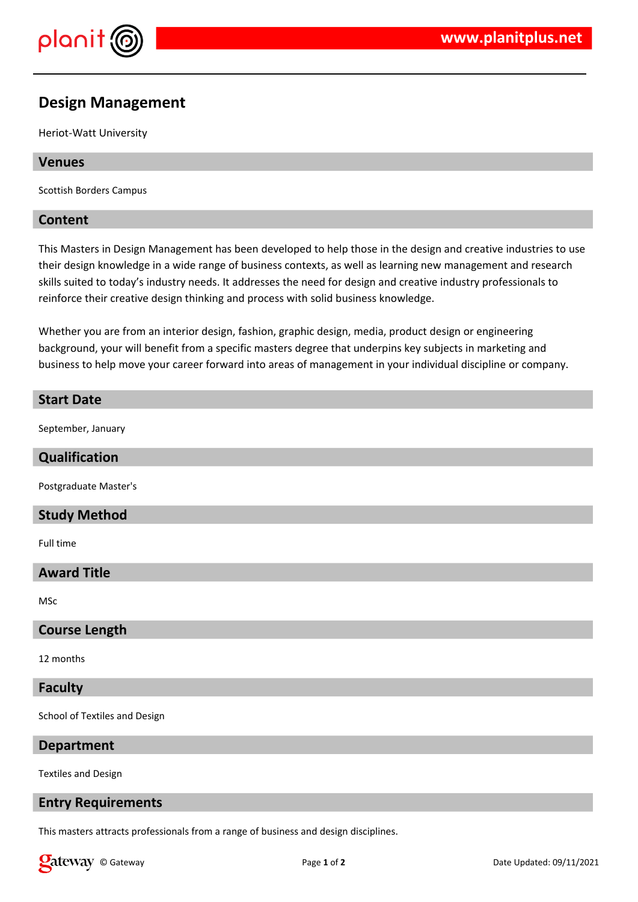

# **Design Management**

Heriot-Watt University

## **Venues**

Scottish Borders Campus

#### **Content**

This Masters in Design Management has been developed to help those in the design and creative industries to use their design knowledge in a wide range of business contexts, as well as learning new management and research skills suited to today's industry needs. It addresses the need for design and creative industry professionals to reinforce their creative design thinking and process with solid business knowledge.

Whether you are from an interior design, fashion, graphic design, media, product design or engineering background, your will benefit from a specific masters degree that underpins key subjects in marketing and business to help move your career forward into areas of management in your individual discipline or company.

## **Start Date**

September, January

#### **Qualification**

Postgraduate Master's

## **Study Method**

Full time

## **Award Title**

MSc

## **Course Length**

12 months

#### **Faculty**

School of Textiles and Design

#### **Department**

Textiles and Design

#### **Entry Requirements**

This masters attracts professionals from a range of business and design disciplines.